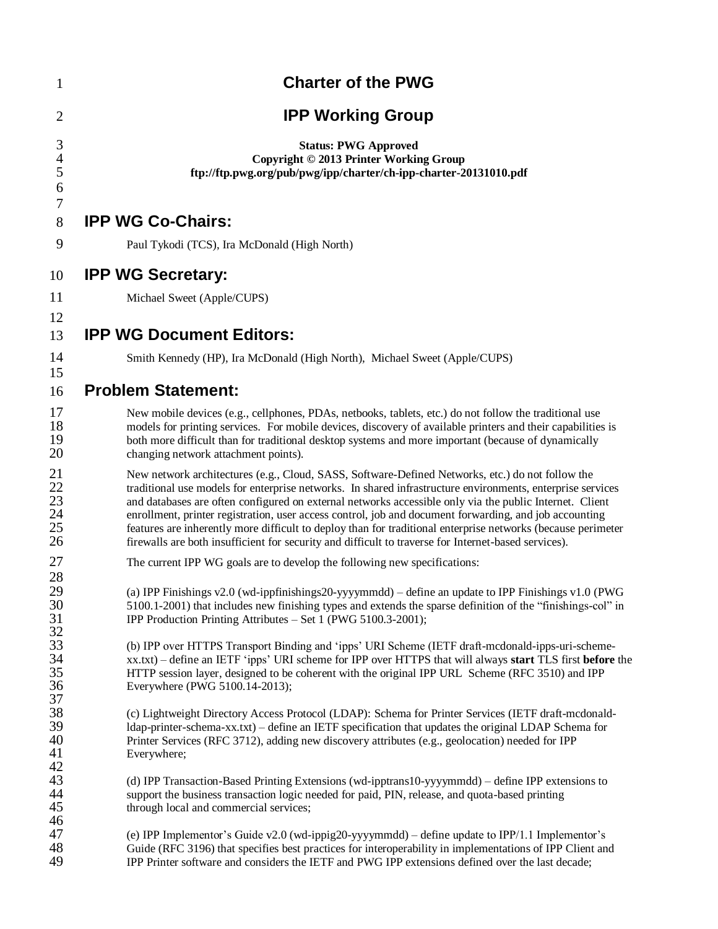| $\mathbf{1}$                            | <b>Charter of the PWG</b>                                                                                                                                                                                                                                                                                                                                                                                                                                                                                                                                                                                                                                   |  |  |  |
|-----------------------------------------|-------------------------------------------------------------------------------------------------------------------------------------------------------------------------------------------------------------------------------------------------------------------------------------------------------------------------------------------------------------------------------------------------------------------------------------------------------------------------------------------------------------------------------------------------------------------------------------------------------------------------------------------------------------|--|--|--|
| $\overline{2}$                          | <b>IPP Working Group</b>                                                                                                                                                                                                                                                                                                                                                                                                                                                                                                                                                                                                                                    |  |  |  |
| 3<br>$\overline{\mathcal{A}}$<br>5<br>6 | <b>Status: PWG Approved</b><br>Copyright © 2013 Printer Working Group<br>ftp://ftp.pwg.org/pub/pwg/ipp/charter/ch-ipp-charter-20131010.pdf                                                                                                                                                                                                                                                                                                                                                                                                                                                                                                                  |  |  |  |
| 7<br>8                                  | <b>IPP WG Co-Chairs:</b>                                                                                                                                                                                                                                                                                                                                                                                                                                                                                                                                                                                                                                    |  |  |  |
| 9                                       | Paul Tykodi (TCS), Ira McDonald (High North)                                                                                                                                                                                                                                                                                                                                                                                                                                                                                                                                                                                                                |  |  |  |
| 10                                      | <b>IPP WG Secretary:</b>                                                                                                                                                                                                                                                                                                                                                                                                                                                                                                                                                                                                                                    |  |  |  |
| 11                                      | Michael Sweet (Apple/CUPS)                                                                                                                                                                                                                                                                                                                                                                                                                                                                                                                                                                                                                                  |  |  |  |
| 12<br>13                                | <b>IPP WG Document Editors:</b>                                                                                                                                                                                                                                                                                                                                                                                                                                                                                                                                                                                                                             |  |  |  |
| 14                                      | Smith Kennedy (HP), Ira McDonald (High North), Michael Sweet (Apple/CUPS)                                                                                                                                                                                                                                                                                                                                                                                                                                                                                                                                                                                   |  |  |  |
| 15<br>16                                | <b>Problem Statement:</b>                                                                                                                                                                                                                                                                                                                                                                                                                                                                                                                                                                                                                                   |  |  |  |
| 17<br>18<br>19<br>20                    | New mobile devices (e.g., cellphones, PDAs, netbooks, tablets, etc.) do not follow the traditional use<br>models for printing services. For mobile devices, discovery of available printers and their capabilities is<br>both more difficult than for traditional desktop systems and more important (because of dynamically<br>changing network attachment points).                                                                                                                                                                                                                                                                                        |  |  |  |
| 21<br>22<br>23<br>$\frac{24}{25}$<br>26 | New network architectures (e.g., Cloud, SASS, Software-Defined Networks, etc.) do not follow the<br>traditional use models for enterprise networks. In shared infrastructure environments, enterprise services<br>and databases are often configured on external networks accessible only via the public Internet. Client<br>enrollment, printer registration, user access control, job and document forwarding, and job accounting<br>features are inherently more difficult to deploy than for traditional enterprise networks (because perimeter<br>firewalls are both insufficient for security and difficult to traverse for Internet-based services). |  |  |  |
| 27                                      | The current IPP WG goals are to develop the following new specifications:                                                                                                                                                                                                                                                                                                                                                                                                                                                                                                                                                                                   |  |  |  |
| 28<br>29<br>30<br>31<br>32              | (a) IPP Finishings v2.0 (wd-ippfinishings20-yyyymmdd) - define an update to IPP Finishings v1.0 (PWG<br>5100.1-2001) that includes new finishing types and extends the sparse definition of the "finishings-col" in<br>IPP Production Printing Attributes – Set 1 (PWG 5100.3-2001);                                                                                                                                                                                                                                                                                                                                                                        |  |  |  |
| 33<br>34<br>35<br>36<br>37              | (b) IPP over HTTPS Transport Binding and 'ipps' URI Scheme (IETF draft-mcdonald-ipps-uri-scheme-<br>xx.txt) – define an IETF 'ipps' URI scheme for IPP over HTTPS that will always start TLS first before the<br>HTTP session layer, designed to be coherent with the original IPP URL Scheme (RFC 3510) and IPP<br>Everywhere (PWG 5100.14-2013);                                                                                                                                                                                                                                                                                                          |  |  |  |
| 38<br>39<br>40<br>41<br>42              | (c) Lightweight Directory Access Protocol (LDAP): Schema for Printer Services (IETF draft-mcdonald-<br>Idap-printer-schema-xx.txt) - define an IETF specification that updates the original LDAP Schema for<br>Printer Services (RFC 3712), adding new discovery attributes (e.g., geolocation) needed for IPP<br>Everywhere;                                                                                                                                                                                                                                                                                                                               |  |  |  |
| 43<br>44<br>45<br>46                    | (d) IPP Transaction-Based Printing Extensions (wd-ipptrans10-yyyymmdd) – define IPP extensions to<br>support the business transaction logic needed for paid, PIN, release, and quota-based printing<br>through local and commercial services;                                                                                                                                                                                                                                                                                                                                                                                                               |  |  |  |
| 47<br>48<br>49                          | (e) IPP Implementor's Guide v2.0 (wd-ippig20-yyyymmdd) – define update to IPP/1.1 Implementor's<br>Guide (RFC 3196) that specifies best practices for interoperability in implementations of IPP Client and<br>IPP Printer software and considers the IETF and PWG IPP extensions defined over the last decade;                                                                                                                                                                                                                                                                                                                                             |  |  |  |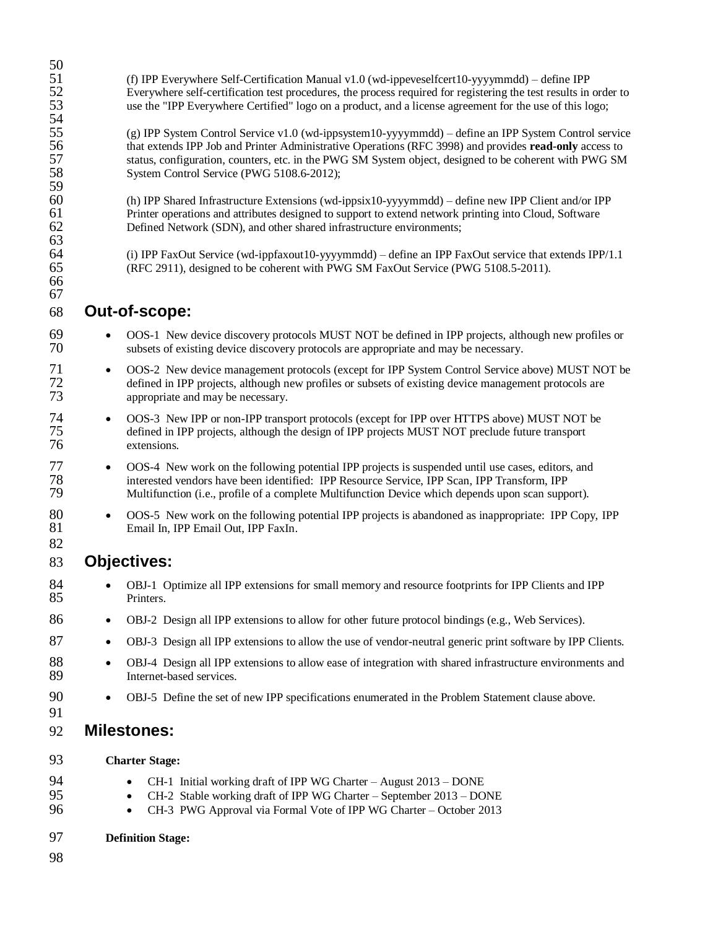| 50                         |                                                                                                                                                                                                                                                                                                                                                                       |  |  |
|----------------------------|-----------------------------------------------------------------------------------------------------------------------------------------------------------------------------------------------------------------------------------------------------------------------------------------------------------------------------------------------------------------------|--|--|
| 51<br>52<br>53<br>54       | (f) IPP Everywhere Self-Certification Manual v1.0 (wd-ippeveselfcert10-yyyymmdd) - define IPP<br>Everywhere self-certification test procedures, the process required for registering the test results in order to<br>use the "IPP Everywhere Certified" logo on a product, and a license agreement for the use of this logo;                                          |  |  |
| 55<br>56<br>57<br>58<br>59 | (g) IPP System Control Service v1.0 (wd-ippsystem10-yyyymmdd) – define an IPP System Control service<br>that extends IPP Job and Printer Administrative Operations (RFC 3998) and provides read-only access to<br>status, configuration, counters, etc. in the PWG SM System object, designed to be coherent with PWG SM<br>System Control Service (PWG 5108.6-2012); |  |  |
| 60<br>61<br>62<br>63       | (h) IPP Shared Infrastructure Extensions (wd-ippsix10-yyyymmdd) – define new IPP Client and/or IPP<br>Printer operations and attributes designed to support to extend network printing into Cloud, Software<br>Defined Network (SDN), and other shared infrastructure environments;                                                                                   |  |  |
| 64<br>65<br>66<br>67       | (i) IPP FaxOut Service (wd-ippfaxout10-yyyymmdd) – define an IPP FaxOut service that extends IPP/1.1<br>(RFC 2911), designed to be coherent with PWG SM FaxOut Service (PWG 5108.5-2011).                                                                                                                                                                             |  |  |
| 68                         | Out-of-scope:                                                                                                                                                                                                                                                                                                                                                         |  |  |
| 69<br>70                   | OOS-1 New device discovery protocols MUST NOT be defined in IPP projects, although new profiles or<br>$\bullet$<br>subsets of existing device discovery protocols are appropriate and may be necessary.                                                                                                                                                               |  |  |
| 71<br>72<br>73             | OOS-2 New device management protocols (except for IPP System Control Service above) MUST NOT be<br>$\bullet$<br>defined in IPP projects, although new profiles or subsets of existing device management protocols are<br>appropriate and may be necessary.                                                                                                            |  |  |
| 74<br>75<br>76             | OOS-3 New IPP or non-IPP transport protocols (except for IPP over HTTPS above) MUST NOT be<br>$\bullet$<br>defined in IPP projects, although the design of IPP projects MUST NOT preclude future transport<br>extensions.                                                                                                                                             |  |  |
| 77<br>78<br>79             | OOS-4 New work on the following potential IPP projects is suspended until use cases, editors, and<br>$\bullet$<br>interested vendors have been identified: IPP Resource Service, IPP Scan, IPP Transform, IPP<br>Multifunction (i.e., profile of a complete Multifunction Device which depends upon scan support).                                                    |  |  |
| 80<br>81<br>82             | OOS-5 New work on the following potential IPP projects is abandoned as inappropriate: IPP Copy, IPP<br>$\bullet$<br>Email In, IPP Email Out, IPP FaxIn.                                                                                                                                                                                                               |  |  |
| 83                         | <b>Objectives:</b>                                                                                                                                                                                                                                                                                                                                                    |  |  |
| 84<br>85                   | OBJ-1 Optimize all IPP extensions for small memory and resource footprints for IPP Clients and IPP<br>Printers.                                                                                                                                                                                                                                                       |  |  |
| 86                         | OBJ-2 Design all IPP extensions to allow for other future protocol bindings (e.g., Web Services).<br>$\bullet$                                                                                                                                                                                                                                                        |  |  |
| 87                         | OBJ-3 Design all IPP extensions to allow the use of vendor-neutral generic print software by IPP Clients.<br>$\bullet$                                                                                                                                                                                                                                                |  |  |
| 88<br>89                   | OBJ-4 Design all IPP extensions to allow ease of integration with shared infrastructure environments and<br>$\bullet$<br>Internet-based services.                                                                                                                                                                                                                     |  |  |
| 90<br>91                   | OBJ-5 Define the set of new IPP specifications enumerated in the Problem Statement clause above.<br>$\bullet$                                                                                                                                                                                                                                                         |  |  |
| 92                         | <b>Milestones:</b>                                                                                                                                                                                                                                                                                                                                                    |  |  |
| 93                         | <b>Charter Stage:</b>                                                                                                                                                                                                                                                                                                                                                 |  |  |
| 94<br>95<br>96             | CH-1 Initial working draft of IPP WG Charter - August 2013 - DONE<br>$\bullet$<br>CH-2 Stable working draft of IPP WG Charter – September 2013 – DONE<br>$\bullet$<br>CH-3 PWG Approval via Formal Vote of IPP WG Charter - October 2013<br>$\bullet$                                                                                                                 |  |  |
| 97                         | <b>Definition Stage:</b>                                                                                                                                                                                                                                                                                                                                              |  |  |
| 98                         |                                                                                                                                                                                                                                                                                                                                                                       |  |  |